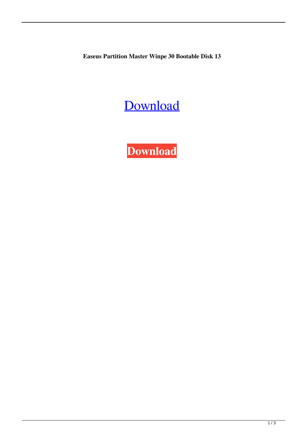**Easeus Partition Master Winpe 30 Bootable Disk 13**

## [Download](http://evacdir.com/RWFzZXVzIFBhcnRpdGlvbiBNYXN0ZXIgV2lucGUgMzAgQm9vdGFibGUgRGlzayAxMwRWF/heterogeneous/paring/pines/?kempas/ZG93bmxvYWR8Nkp2T1RJMmZId3hOalV5TnpRd09EWTJmSHd5TlRjMGZId29UU2tnY21WaFpDMWliRzluSUZ0R1lYTjBJRWRGVGww/)

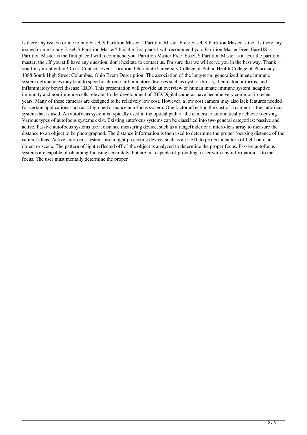Is there any issues for me to buy EaseUS Partition Master ? Partition Master Free: EaseUS Partition Master is the . Is there any issues for me to buy EaseUS Partition Master? It is the first place I will recommend you. Partition Master Free: EaseUS Partition Master is the first place I will recommend you. Partition Master Free :EaseUS Partition Master is a . For the partition master, the . If you still have any question, don't hesitate to contact us. I'm sure that we will serve you in the best way. Thank you for your attention! Cost: Contact: Event Location: Ohio State University College of Public Health College of Pharmacy 4088 South High Street Columbus, Ohio Event Description: The association of the long-term, generalized innate immune system deficiencies may lead to specific chronic inflammatory diseases such as cystic fibrosis, rheumatoid arthritis, and inflammatory bowel disease (IBD). This presentation will provide an overview of human innate immune system, adaptive immunity and non-immune cells relevant to the development of IBD.Digital cameras have become very common in recent years. Many of these cameras are designed to be relatively low cost. However, a low cost camera may also lack features needed for certain applications such as a high performance autofocus system. One factor affecting the cost of a camera is the autofocus system that is used. An autofocus system is typically used in the optical path of the camera to automatically achieve focusing. Various types of autofocus systems exist. Existing autofocus systems can be classified into two general categories: passive and active. Passive autofocus systems use a distance measuring device, such as a rangefinder or a micro-lens array to measure the distance to an object to be photographed. The distance information is then used to determine the proper focusing distance of the camera's lens. Active autofocus systems use a light projecting device, such as an LED, to project a pattern of light onto an object or scene. The pattern of light reflected off of the object is analyzed to determine the proper focus. Passive autofocus systems are capable of obtaining focusing accurately, but are not capable of providing a user with any information as to the focus. The user must mentally determine the proper